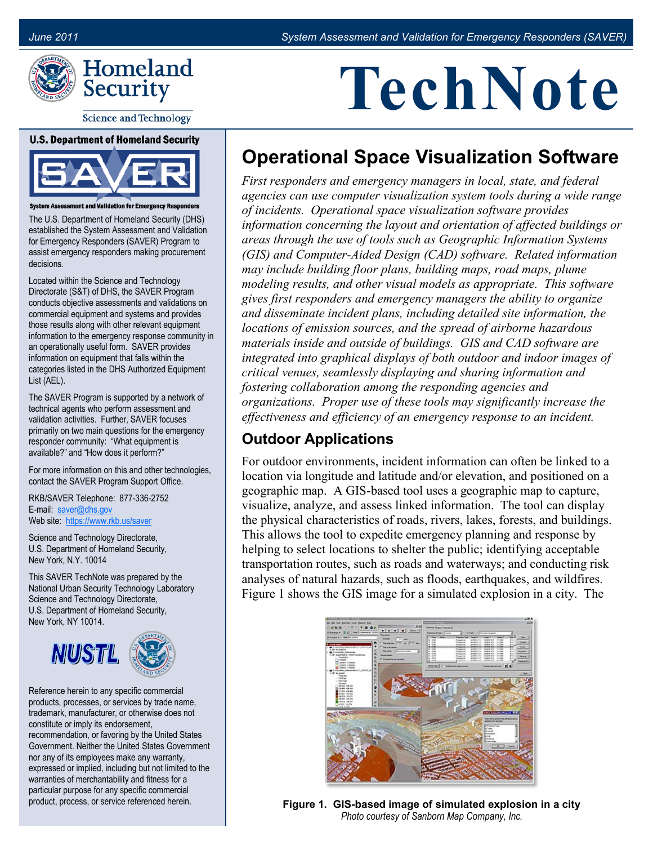

**Science and Technology** 

#### **U.S. Department of Homeland Security**



**System Assessment and Validation for Emergency Responders** 

The U.S. Department of Homeland Security (DHS) established the System Assessment and Validation for Emergency Responders (SAVER) Program to assist emergency responders making procurement decisions.

Located within the Science and Technology Directorate (S&T) of DHS, the SAVER Program conducts objective assessments and validations on commercial equipment and systems and provides those results along with other relevant equipment information to the emergency response community in an operationally useful form. SAVER provides information on equipment that falls within the categories listed in the DHS Authorized Equipment List (AEL).

The SAVER Program is supported by a network of technical agents who perform assessment and validation activities. Further, SAVER focuses primarily on two main questions for the emergency responder community: "What equipment is available?" and "How does it perform?"

For more information on this and other technologies, contact the SAVER Program Support Office.

RKB/SAVER Telephone: 877-336-2752 E-mail: [saver@dhs.gov](mailto:saver@dhs.gov) Web site: [https://www.rkb.us/saver](https://www.rkb.us/SAVER)

Science and Technology Directorate, U.S. Department of Homeland Security, New York, N.Y. 10014

This SAVER TechNote was prepared by the National Urban Security Technology Laboratory Science and Technology Directorate, U.S. Department of Homeland Security, New York, NY 10014.



Reference herein to any specific commercial products, processes, or services by trade name, trademark, manufacturer, or otherwise does not constitute or imply its endorsement, recommendation, or favoring by the United States Government. Neither the United States Government nor any of its employees make any warranty, expressed or implied, including but not limited to the warranties of merchantability and fitness for a particular purpose for any specific commercial product, process, or service referenced herein.

# **TechNote**

## **Operational Space Visualization Software**

*First responders and emergency managers in local, state, and federal agencies can use computer visualization system tools during a wide range of incidents. Operational space visualization software provides information concerning the layout and orientation of affected buildings or areas through the use of tools such as Geographic Information Systems (GIS) and Computer-Aided Design (CAD) software. Related information may include building floor plans, building maps, road maps, plume modeling results, and other visual models as appropriate. This software gives first responders and emergency managers the ability to organize and disseminate incident plans, including detailed site information, the locations of emission sources, and the spread of airborne hazardous materials inside and outside of buildings. GIS and CAD software are integrated into graphical displays of both outdoor and indoor images of critical venues, seamlessly displaying and sharing information and fostering collaboration among the responding agencies and organizations. Proper use of these tools may significantly increase the effectiveness and efficiency of an emergency response to an incident.* 

### **Outdoor Applications**

For outdoor environments, incident information can often be linked to a location via longitude and latitude and/or elevation, and positioned on a geographic map. A GIS-based tool uses a geographic map to capture, visualize, analyze, and assess linked information. The tool can display the physical characteristics of roads, rivers, lakes, forests, and buildings. This allows the tool to expedite emergency planning and response by helping to select locations to shelter the public; identifying acceptable transportation routes, such as roads and waterways; and conducting risk analyses of natural hazards, such as floods, earthquakes, and wildfires. Figure 1 shows the GIS image for a simulated explosion in a city. The



**Figure 1. GIS-based image of simulated explosion in a city**  *Photo courtesy of Sanborn Map Company, Inc.*